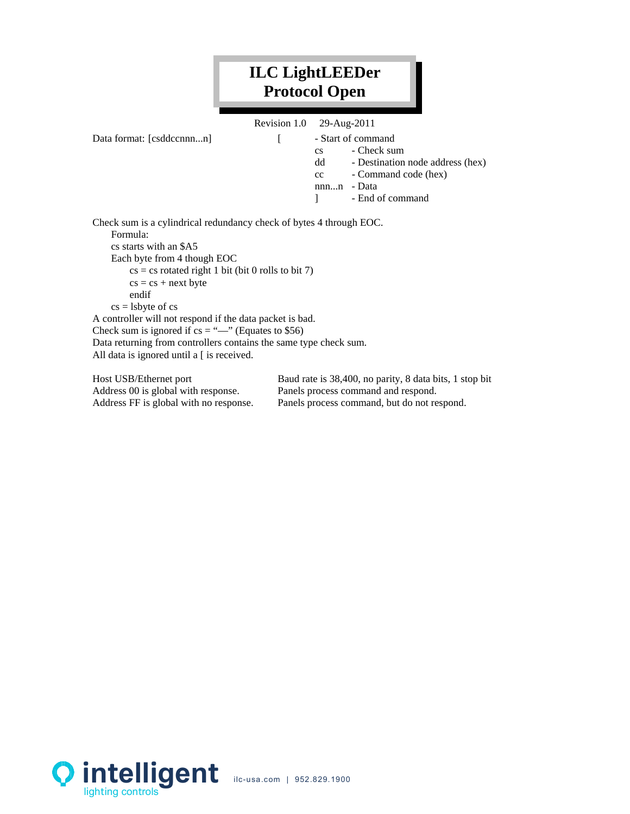## **ILC LightLEEDer Protocol Open**

|                           | Revision 1.0 29-Aug-2011 |                        |                                  |
|---------------------------|--------------------------|------------------------|----------------------------------|
| Data format: [csddccnnnn] |                          |                        | - Start of command               |
|                           |                          | $\mathbf{c}\mathbf{s}$ | - Check sum                      |
|                           |                          | dd                     | - Destination node address (hex) |
|                           |                          | cc                     | - Command code (hex)             |
|                           |                          | nnnn                   | - Data                           |
|                           |                          |                        | - End of command                 |
|                           |                          |                        |                                  |

Check sum is a cylindrical redundancy check of bytes 4 through EOC. Formula: cs starts with an \$A5 Each byte from 4 though EOC  $cs = cs$  rotated right 1 bit (bit 0 rolls to bit 7)  $cs = cs + next byte$ endif  $cs =$  lsbyte of  $cs$ A controller will not respond if the data packet is bad. Check sum is ignored if  $cs =$  "—" (Equates to \$56) Data returning from controllers contains the same type check sum. All data is ignored until a [ is received.

Host USB/Ethernet port Baud rate is 38,400, no parity, 8 data bits, 1 stop bit Address 00 is global with response. Panels process command and respond. Address FF is global with no response. Panels process command, but do not respond.

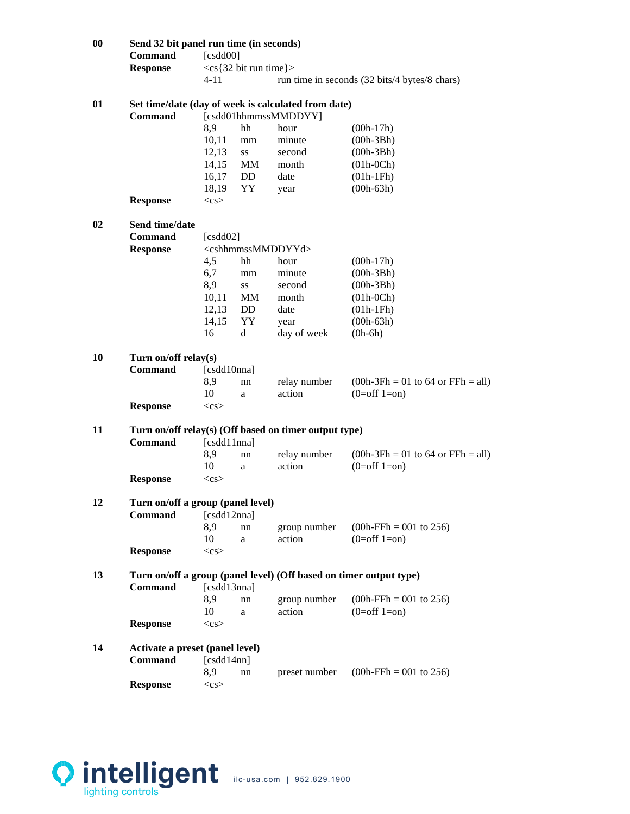| $\boldsymbol{00}$ | Command<br><b>Response</b>                                                                    | Send 32 bit panel run time (in seconds)<br>[csdd00]<br>$<$ cs{32 bit run time}>   |     |                                                       |                                               |
|-------------------|-----------------------------------------------------------------------------------------------|-----------------------------------------------------------------------------------|-----|-------------------------------------------------------|-----------------------------------------------|
|                   |                                                                                               | $4 - 11$                                                                          |     |                                                       | run time in seconds (32 bits/4 bytes/8 chars) |
| 01                | Set time/date (day of week is calculated from date)<br><b>Command</b><br>[csdd01hhmmssMMDDYY] |                                                                                   |     |                                                       |                                               |
|                   |                                                                                               | 8,9                                                                               | hh  | hour                                                  | $(00h-17h)$                                   |
|                   |                                                                                               | 10,11                                                                             | mm  | minute                                                | $(00h-3Bh)$                                   |
|                   |                                                                                               | 12,13                                                                             | SS  | second                                                | $(00h-3Bh)$                                   |
|                   |                                                                                               | 14,15                                                                             | MM  | month                                                 | $(01h-0Ch)$                                   |
|                   |                                                                                               |                                                                                   |     |                                                       |                                               |
|                   |                                                                                               | 16,17                                                                             | DD. | date                                                  | $(01h-1Fh)$                                   |
|                   | <b>Response</b>                                                                               | 18,19<br>$<$ cs>                                                                  | YY  | year                                                  | $(00h-63h)$                                   |
| 02                | Send time/date                                                                                |                                                                                   |     |                                                       |                                               |
|                   | Command                                                                                       | [ $csdd02$ ]                                                                      |     |                                                       |                                               |
|                   | <b>Response</b>                                                                               |                                                                                   |     | <cshhmmssmmddyyd></cshhmmssmmddyyd>                   |                                               |
|                   |                                                                                               | 4,5                                                                               | hh  | hour                                                  | $(00h-17h)$                                   |
|                   |                                                                                               | 6,7                                                                               | mm  | minute                                                | $(00h-3Bh)$                                   |
|                   |                                                                                               | 8,9                                                                               | SS  | second                                                | $(00h-3Bh)$                                   |
|                   |                                                                                               | 10,11                                                                             | MМ  | month                                                 | $(01h-0Ch)$                                   |
|                   |                                                                                               | 12,13                                                                             | DD. | date                                                  | $(01h-1Fh)$                                   |
|                   |                                                                                               | 14,15                                                                             | YY  | year                                                  | $(00h-63h)$                                   |
|                   |                                                                                               | 16                                                                                | d   | day of week                                           | $(0h-6h)$                                     |
|                   |                                                                                               |                                                                                   |     |                                                       |                                               |
| 10                | Turn on/off relay(s)                                                                          |                                                                                   |     |                                                       |                                               |
|                   | <b>Command</b>                                                                                | [csdd10nna]                                                                       |     |                                                       |                                               |
|                   |                                                                                               | 8,9                                                                               | nn  | relay number                                          | $(00h-3Fh = 01$ to 64 or $FFh = all)$         |
|                   |                                                                                               | 10                                                                                | a   | action                                                | $(0=off 1=on)$                                |
|                   | <b>Response</b>                                                                               | $<$ cs>                                                                           |     |                                                       |                                               |
|                   |                                                                                               |                                                                                   |     |                                                       |                                               |
| 11                |                                                                                               |                                                                                   |     | Turn on/off relay(s) (Off based on timer output type) |                                               |
|                   | <b>Command</b>                                                                                | [csdd11nna]                                                                       |     |                                                       |                                               |
|                   |                                                                                               | 8,9                                                                               |     | relay number                                          | $(00h-3Fh = 01$ to 64 or $FFh = all)$         |
|                   |                                                                                               | 10                                                                                | nn  | action                                                | $(0=off 1=on)$                                |
|                   |                                                                                               |                                                                                   | a   |                                                       |                                               |
|                   | <b>Response</b>                                                                               | $<$ cs>                                                                           |     |                                                       |                                               |
| 12                | Turn on/off a group (panel level)                                                             |                                                                                   |     |                                                       |                                               |
|                   | Command                                                                                       | [csdd12nna]                                                                       |     |                                                       |                                               |
|                   |                                                                                               | 8,9                                                                               | nn  | group number                                          | $(00h\text{-}FFh = 001 \text{ to } 256)$      |
|                   |                                                                                               | 10                                                                                | a   | action                                                | $(0=off 1=on)$                                |
|                   |                                                                                               |                                                                                   |     |                                                       |                                               |
|                   | <b>Response</b>                                                                               | $<$ cs>                                                                           |     |                                                       |                                               |
| 13                |                                                                                               |                                                                                   |     |                                                       |                                               |
|                   | <b>Command</b>                                                                                | Turn on/off a group (panel level) (Off based on timer output type)<br>[csdd13nna] |     |                                                       |                                               |
|                   |                                                                                               | 8,9                                                                               | nn  | group number                                          | $(00h$ -FFh = 001 to 256)                     |
|                   |                                                                                               | 10                                                                                | a   | action                                                | $(0=off 1=on)$                                |
|                   | <b>Response</b>                                                                               | $<$ cs>                                                                           |     |                                                       |                                               |
|                   |                                                                                               |                                                                                   |     |                                                       |                                               |
| 14                | Activate a preset (panel level)                                                               |                                                                                   |     |                                                       |                                               |
|                   | Command                                                                                       | [csdd14nn]                                                                        |     |                                                       |                                               |
|                   |                                                                                               | 8,9                                                                               | nn  | preset number                                         | $(00h\text{-}FFh = 001 \text{ to } 256)$      |
|                   | <b>Response</b>                                                                               | $<$ cs>                                                                           |     |                                                       |                                               |
|                   |                                                                                               |                                                                                   |     |                                                       |                                               |

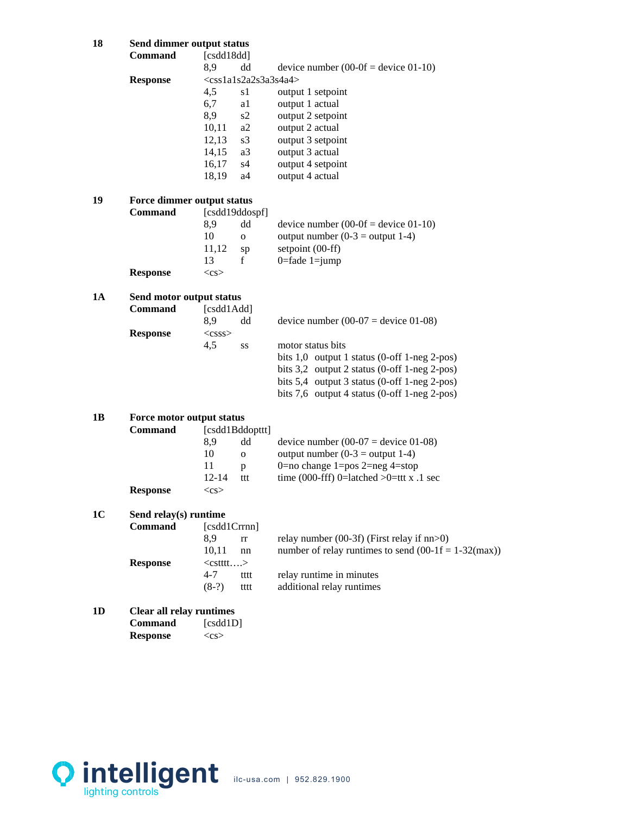## **18 Send dimmer output status**

| 18 | Send dimmer output status  |                   |                         |                                                        |  |  |
|----|----------------------------|-------------------|-------------------------|--------------------------------------------------------|--|--|
|    | Command                    | [cstd18dd]        |                         |                                                        |  |  |
|    |                            | 8,9               | dd                      | device number $(00-0f =$ device $01-10)$               |  |  |
|    | <b>Response</b>            |                   | $<$ css1a1s2a2s3a3s4a4> |                                                        |  |  |
|    |                            | 4,5               | s1                      | output 1 setpoint                                      |  |  |
|    |                            | 6,7               | a1                      | output 1 actual                                        |  |  |
|    |                            | 8,9               | s2                      | output 2 setpoint                                      |  |  |
|    |                            | 10,11             | a2                      | output 2 actual                                        |  |  |
|    |                            | 12,13             | s <sub>3</sub>          | output 3 setpoint                                      |  |  |
|    |                            | 14,15             | a3                      | output 3 actual                                        |  |  |
|    |                            | 16,17             | s4                      | output 4 setpoint                                      |  |  |
|    |                            | 18,19             | a4                      | output 4 actual                                        |  |  |
| 19 | Force dimmer output status |                   |                         |                                                        |  |  |
|    | <b>Command</b>             |                   | [csdd19ddospf]          |                                                        |  |  |
|    |                            | 8,9               | dd                      | device number $(00-0f =$ device $01-10)$               |  |  |
|    |                            | 10                | $\mathbf{O}$            | output number $(0-3 =$ output 1-4)                     |  |  |
|    |                            | 11,12             | sp                      | setpoint (00-ff)                                       |  |  |
|    |                            | 13                | f                       | $0 =$ fade $1 =$ jump                                  |  |  |
|    | <b>Response</b>            | $<$ cs>           |                         |                                                        |  |  |
| 1A | Send motor output status   |                   |                         |                                                        |  |  |
|    | <b>Command</b>             | [csdd1Add]        |                         |                                                        |  |  |
|    |                            | 8,9               | dd                      | device number $(00-07)$ = device 01-08)                |  |  |
|    | <b>Response</b>            | $<$ csss>         |                         |                                                        |  |  |
|    |                            | 4,5               | SS                      | motor status bits                                      |  |  |
|    |                            |                   |                         | bits $1,0$ output 1 status (0-off 1-neg 2-pos)         |  |  |
|    |                            |                   |                         | bits $3,2$ output 2 status (0-off 1-neg 2-pos)         |  |  |
|    |                            |                   |                         | bits $5,4$ output 3 status (0-off 1-neg 2-pos)         |  |  |
|    |                            |                   |                         | bits $7,6$ output 4 status (0-off 1-neg 2-pos)         |  |  |
| 1B | Force motor output status  |                   |                         |                                                        |  |  |
|    | <b>Command</b>             |                   | [csdd1Bddopttt]         |                                                        |  |  |
|    |                            | 8,9               | dd                      | device number $(00-07)$ = device 01-08)                |  |  |
|    |                            | 10                | $\mathbf 0$             | output number $(0-3 =$ output 1-4)                     |  |  |
|    |                            | 11                | p                       | 0=no change 1=pos 2=neg 4=stop                         |  |  |
|    |                            | $12 - 14$         | ttt                     | time (000-fff) 0=latched >0=ttt x .1 sec               |  |  |
|    | <b>Response</b>            | $<$ cs>           |                         |                                                        |  |  |
| 1C | Send relay(s) runtime      |                   |                         |                                                        |  |  |
|    | <b>Command</b>             | [csdd1Crrnn]      |                         |                                                        |  |  |
|    |                            | 8,9               | rr                      | relay number $(00-3f)$ (First relay if nn>0)           |  |  |
|    |                            | 10,11             | nn                      | number of relay runtimes to send $(00-1f = 1-32(max))$ |  |  |
|    | <b>Response</b>            | <cstttt></cstttt> |                         |                                                        |  |  |
|    |                            | $4 - 7$           | tttt                    | relay runtime in minutes                               |  |  |
|    |                            | $(8-?)$           | tttt                    | additional relay runtimes                              |  |  |
|    |                            |                   |                         |                                                        |  |  |

**1D Clear all relay runtimes** 

| Command         | [cstd1D]   |
|-----------------|------------|
| <b>Response</b> | $<$ CS $>$ |